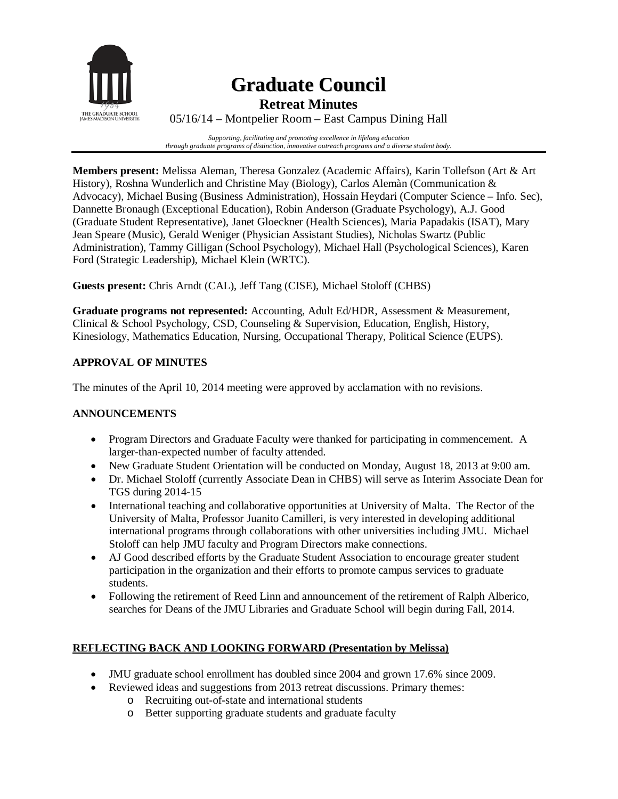

# **Graduate Council**

**Retreat Minutes**

05/16/14 – Montpelier Room – East Campus Dining Hall

*Supporting, facilitating and promoting excellence in lifelong education through graduate programs of distinction, innovative outreach programs and a diverse student body.*

**Members present:** Melissa Aleman, Theresa Gonzalez (Academic Affairs), Karin Tollefson (Art & Art History), Roshna Wunderlich and Christine May (Biology), Carlos Alemàn (Communication & Advocacy), Michael Busing (Business Administration), Hossain Heydari (Computer Science – Info. Sec), Dannette Bronaugh (Exceptional Education), Robin Anderson (Graduate Psychology), A.J. Good (Graduate Student Representative), Janet Gloeckner (Health Sciences), Maria Papadakis (ISAT), Mary Jean Speare (Music), Gerald Weniger (Physician Assistant Studies), Nicholas Swartz (Public Administration), Tammy Gilligan (School Psychology), Michael Hall (Psychological Sciences), Karen Ford (Strategic Leadership), Michael Klein (WRTC).

**Guests present:** Chris Arndt (CAL), Jeff Tang (CISE), Michael Stoloff (CHBS)

**Graduate programs not represented:** Accounting, Adult Ed/HDR, Assessment & Measurement, Clinical & School Psychology, CSD, Counseling & Supervision, Education, English, History, Kinesiology, Mathematics Education, Nursing, Occupational Therapy, Political Science (EUPS).

### **APPROVAL OF MINUTES**

The minutes of the April 10, 2014 meeting were approved by acclamation with no revisions.

#### **ANNOUNCEMENTS**

- Program Directors and Graduate Faculty were thanked for participating in commencement. A larger-than-expected number of faculty attended.
- New Graduate Student Orientation will be conducted on Monday, August 18, 2013 at 9:00 am.
- Dr. Michael Stoloff (currently Associate Dean in CHBS) will serve as Interim Associate Dean for TGS during 2014-15
- International teaching and collaborative opportunities at University of Malta. The Rector of the University of Malta, Professor Juanito Camilleri, is very interested in developing additional international programs through collaborations with other universities including JMU. Michael Stoloff can help JMU faculty and Program Directors make connections.
- AJ Good described efforts by the Graduate Student Association to encourage greater student participation in the organization and their efforts to promote campus services to graduate students.
- Following the retirement of Reed Linn and announcement of the retirement of Ralph Alberico, searches for Deans of the JMU Libraries and Graduate School will begin during Fall, 2014.

#### **REFLECTING BACK AND LOOKING FORWARD (Presentation by Melissa)**

- JMU graduate school enrollment has doubled since 2004 and grown 17.6% since 2009.
- Reviewed ideas and suggestions from 2013 retreat discussions. Primary themes:
	- o Recruiting out-of-state and international students
	- o Better supporting graduate students and graduate faculty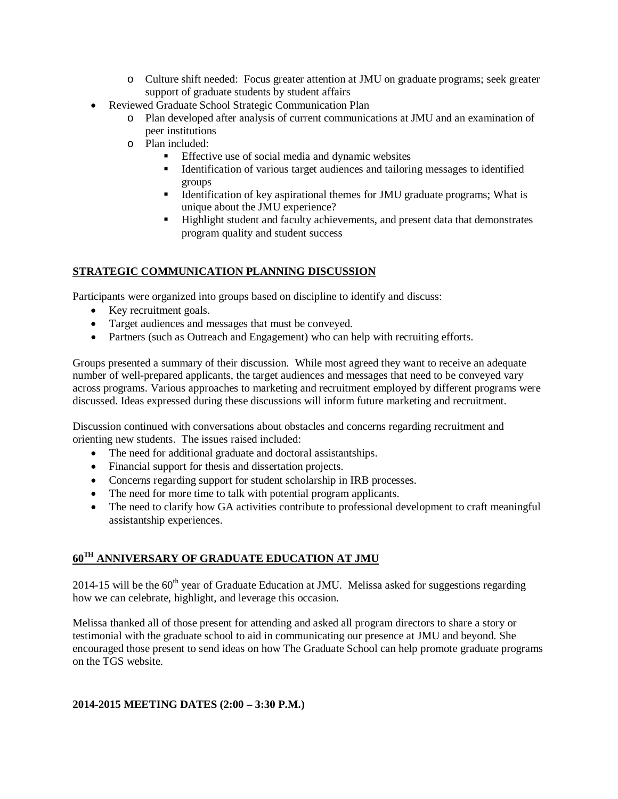- o Culture shift needed: Focus greater attention at JMU on graduate programs; seek greater support of graduate students by student affairs
- Reviewed Graduate School Strategic Communication Plan
	- o Plan developed after analysis of current communications at JMU and an examination of peer institutions
	- o Plan included:
		- Effective use of social media and dynamic websites
		- Identification of various target audiences and tailoring messages to identified groups
		- Identification of key aspirational themes for JMU graduate programs; What is unique about the JMU experience?
		- **Highlight student and faculty achievements, and present data that demonstrates** program quality and student success

#### **STRATEGIC COMMUNICATION PLANNING DISCUSSION**

Participants were organized into groups based on discipline to identify and discuss:

- Key recruitment goals.
- Target audiences and messages that must be conveyed.
- Partners (such as Outreach and Engagement) who can help with recruiting efforts.

Groups presented a summary of their discussion. While most agreed they want to receive an adequate number of well-prepared applicants, the target audiences and messages that need to be conveyed vary across programs. Various approaches to marketing and recruitment employed by different programs were discussed. Ideas expressed during these discussions will inform future marketing and recruitment.

Discussion continued with conversations about obstacles and concerns regarding recruitment and orienting new students. The issues raised included:

- The need for additional graduate and doctoral assistantships.
- Financial support for thesis and dissertation projects.
- Concerns regarding support for student scholarship in IRB processes.
- The need for more time to talk with potential program applicants.
- The need to clarify how GA activities contribute to professional development to craft meaningful assistantship experiences.

## **60TH ANNIVERSARY OF GRADUATE EDUCATION AT JMU**

2014-15 will be the  $60<sup>th</sup>$  year of Graduate Education at JMU. Melissa asked for suggestions regarding how we can celebrate, highlight, and leverage this occasion.

Melissa thanked all of those present for attending and asked all program directors to share a story or testimonial with the graduate school to aid in communicating our presence at JMU and beyond. She encouraged those present to send ideas on how The Graduate School can help promote graduate programs on the TGS website.

#### **2014-2015 MEETING DATES (2:00 – 3:30 P.M.)**